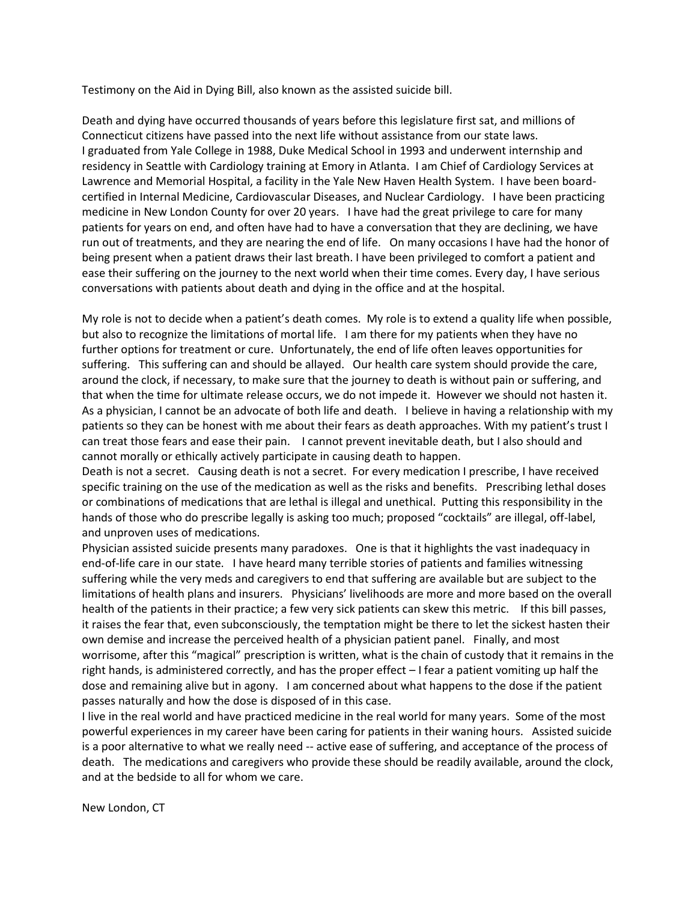Testimony on the Aid in Dying Bill, also known as the assisted suicide bill.

Death and dying have occurred thousands of years before this legislature first sat, and millions of Connecticut citizens have passed into the next life without assistance from our state laws. I graduated from Yale College in 1988, Duke Medical School in 1993 and underwent internship and residency in Seattle with Cardiology training at Emory in Atlanta. I am Chief of Cardiology Services at Lawrence and Memorial Hospital, a facility in the Yale New Haven Health System. I have been boardcertified in Internal Medicine, Cardiovascular Diseases, and Nuclear Cardiology. I have been practicing medicine in New London County for over 20 years. I have had the great privilege to care for many patients for years on end, and often have had to have a conversation that they are declining, we have run out of treatments, and they are nearing the end of life. On many occasions I have had the honor of being present when a patient draws their last breath. I have been privileged to comfort a patient and ease their suffering on the journey to the next world when their time comes. Every day, I have serious conversations with patients about death and dying in the office and at the hospital.

My role is not to decide when a patient's death comes. My role is to extend a quality life when possible, but also to recognize the limitations of mortal life. I am there for my patients when they have no further options for treatment or cure. Unfortunately, the end of life often leaves opportunities for suffering. This suffering can and should be allayed. Our health care system should provide the care, around the clock, if necessary, to make sure that the journey to death is without pain or suffering, and that when the time for ultimate release occurs, we do not impede it. However we should not hasten it. As a physician, I cannot be an advocate of both life and death. I believe in having a relationship with my patients so they can be honest with me about their fears as death approaches. With my patient's trust I can treat those fears and ease their pain. I cannot prevent inevitable death, but I also should and cannot morally or ethically actively participate in causing death to happen.

Death is not a secret. Causing death is not a secret. For every medication I prescribe, I have received specific training on the use of the medication as well as the risks and benefits. Prescribing lethal doses or combinations of medications that are lethal is illegal and unethical. Putting this responsibility in the hands of those who do prescribe legally is asking too much; proposed "cocktails" are illegal, off-label, and unproven uses of medications.

Physician assisted suicide presents many paradoxes. One is that it highlights the vast inadequacy in end-of-life care in our state. I have heard many terrible stories of patients and families witnessing suffering while the very meds and caregivers to end that suffering are available but are subject to the limitations of health plans and insurers. Physicians' livelihoods are more and more based on the overall health of the patients in their practice; a few very sick patients can skew this metric. If this bill passes, it raises the fear that, even subconsciously, the temptation might be there to let the sickest hasten their own demise and increase the perceived health of a physician patient panel. Finally, and most worrisome, after this "magical" prescription is written, what is the chain of custody that it remains in the right hands, is administered correctly, and has the proper effect – I fear a patient vomiting up half the dose and remaining alive but in agony. I am concerned about what happens to the dose if the patient passes naturally and how the dose is disposed of in this case.

I live in the real world and have practiced medicine in the real world for many years. Some of the most powerful experiences in my career have been caring for patients in their waning hours. Assisted suicide is a poor alternative to what we really need -- active ease of suffering, and acceptance of the process of death. The medications and caregivers who provide these should be readily available, around the clock, and at the bedside to all for whom we care.

New London, CT